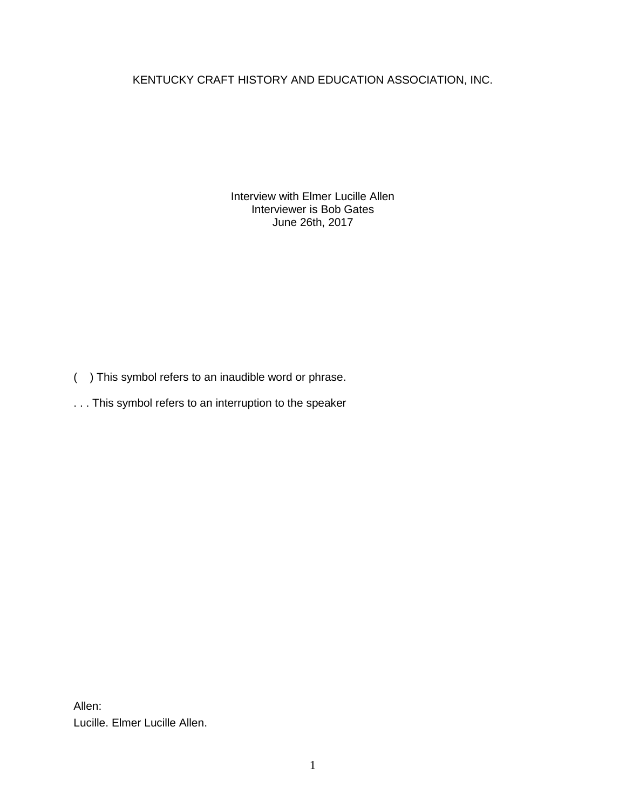KENTUCKY CRAFT HISTORY AND EDUCATION ASSOCIATION, INC.

Interview with Elmer Lucille Allen Interviewer is Bob Gates June 26th, 2017

- ( ) This symbol refers to an inaudible word or phrase.
- . . . This symbol refers to an interruption to the speaker

Allen: Lucille. Elmer Lucille Allen.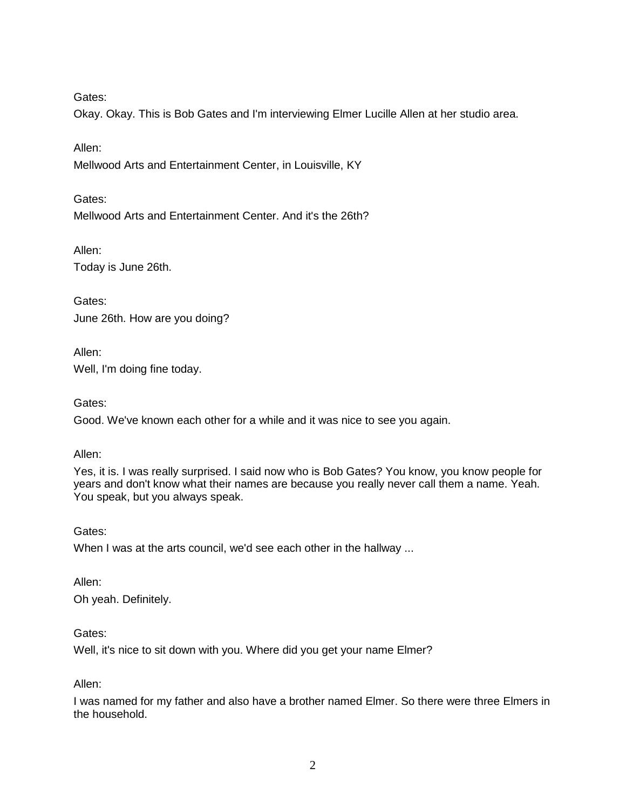Okay. Okay. This is Bob Gates and I'm interviewing Elmer Lucille Allen at her studio area.

Allen:

Mellwood Arts and Entertainment Center, in Louisville, KY

Gates:

Mellwood Arts and Entertainment Center. And it's the 26th?

Allen: Today is June 26th.

Gates: June 26th. How are you doing?

Allen: Well, I'm doing fine today.

Gates:

Good. We've known each other for a while and it was nice to see you again.

Allen:

Yes, it is. I was really surprised. I said now who is Bob Gates? You know, you know people for years and don't know what their names are because you really never call them a name. Yeah. You speak, but you always speak.

Gates:

When I was at the arts council, we'd see each other in the hallway ...

Allen: Oh yeah. Definitely.

Gates:

Well, it's nice to sit down with you. Where did you get your name Elmer?

Allen:

I was named for my father and also have a brother named Elmer. So there were three Elmers in the household.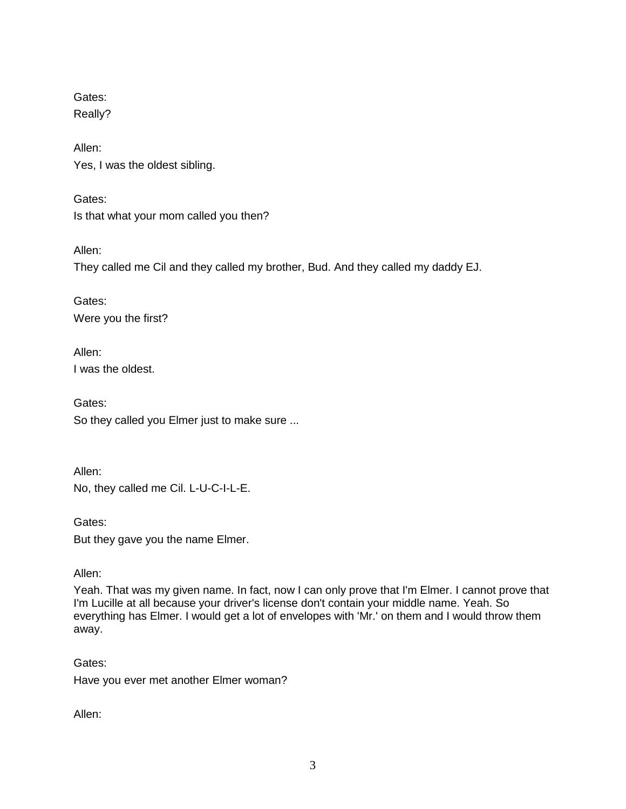Gates: Really?

Allen: Yes, I was the oldest sibling.

Gates: Is that what your mom called you then?

Allen:

They called me Cil and they called my brother, Bud. And they called my daddy EJ.

Gates: Were you the first?

Allen: I was the oldest.

Gates: So they called you Elmer just to make sure ...

Allen: No, they called me Cil. L-U-C-I-L-E.

Gates: But they gave you the name Elmer.

Allen:

Yeah. That was my given name. In fact, now I can only prove that I'm Elmer. I cannot prove that I'm Lucille at all because your driver's license don't contain your middle name. Yeah. So everything has Elmer. I would get a lot of envelopes with 'Mr.' on them and I would throw them away.

Gates: Have you ever met another Elmer woman?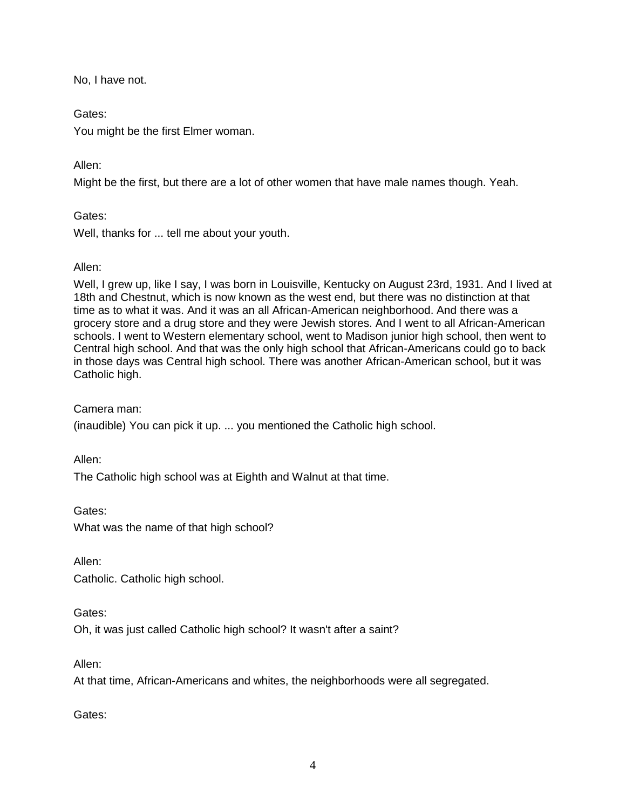No, I have not.

# Gates:

You might be the first Elmer woman.

# Allen:

Might be the first, but there are a lot of other women that have male names though. Yeah.

# Gates:

Well, thanks for ... tell me about your youth.

## Allen:

Well, I grew up, like I say, I was born in Louisville, Kentucky on August 23rd, 1931. And I lived at 18th and Chestnut, which is now known as the west end, but there was no distinction at that time as to what it was. And it was an all African-American neighborhood. And there was a grocery store and a drug store and they were Jewish stores. And I went to all African-American schools. I went to Western elementary school, went to Madison junior high school, then went to Central high school. And that was the only high school that African-Americans could go to back in those days was Central high school. There was another African-American school, but it was Catholic high.

## Camera man:

(inaudible) You can pick it up. ... you mentioned the Catholic high school.

Allen:

The Catholic high school was at Eighth and Walnut at that time.

Gates: What was the name of that high school?

Allen:

Catholic. Catholic high school.

Gates:

Oh, it was just called Catholic high school? It wasn't after a saint?

Allen:

At that time, African-Americans and whites, the neighborhoods were all segregated.

Gates: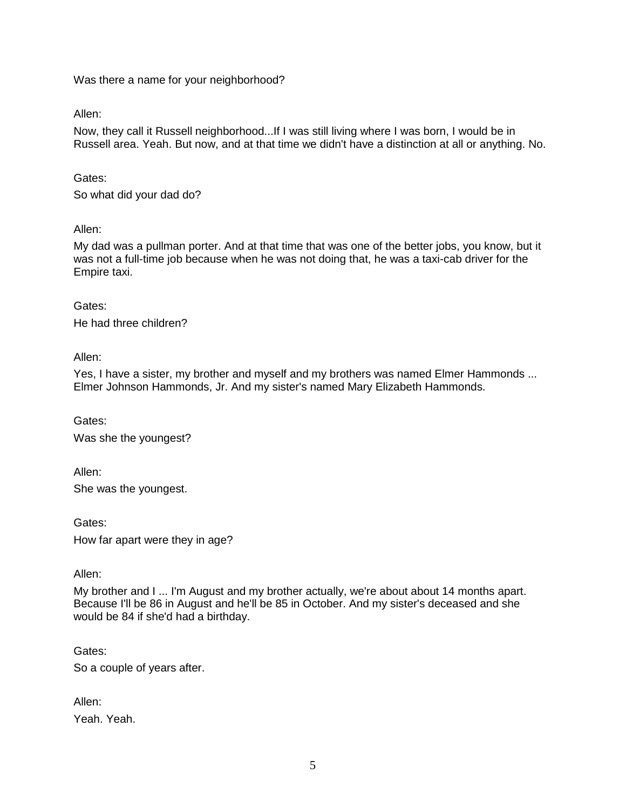Was there a name for your neighborhood?

Allen:

Now, they call it Russell neighborhood...If I was still living where I was born, I would be in Russell area. Yeah. But now, and at that time we didn't have a distinction at all or anything. No.

Gates:

So what did your dad do?

#### Allen:

My dad was a pullman porter. And at that time that was one of the better jobs, you know, but it was not a full-time job because when he was not doing that, he was a taxi-cab driver for the Empire taxi.

#### Gates:

He had three children?

Allen:

Yes, I have a sister, my brother and myself and my brothers was named Elmer Hammonds ... Elmer Johnson Hammonds, Jr. And my sister's named Mary Elizabeth Hammonds.

Gates: Was she the youngest?

Allen: She was the youngest.

Gates: How far apart were they in age?

Allen:

My brother and I ... I'm August and my brother actually, we're about about 14 months apart. Because I'll be 86 in August and he'll be 85 in October. And my sister's deceased and she would be 84 if she'd had a birthday.

Gates:

So a couple of years after.

Allen: Yeah. Yeah.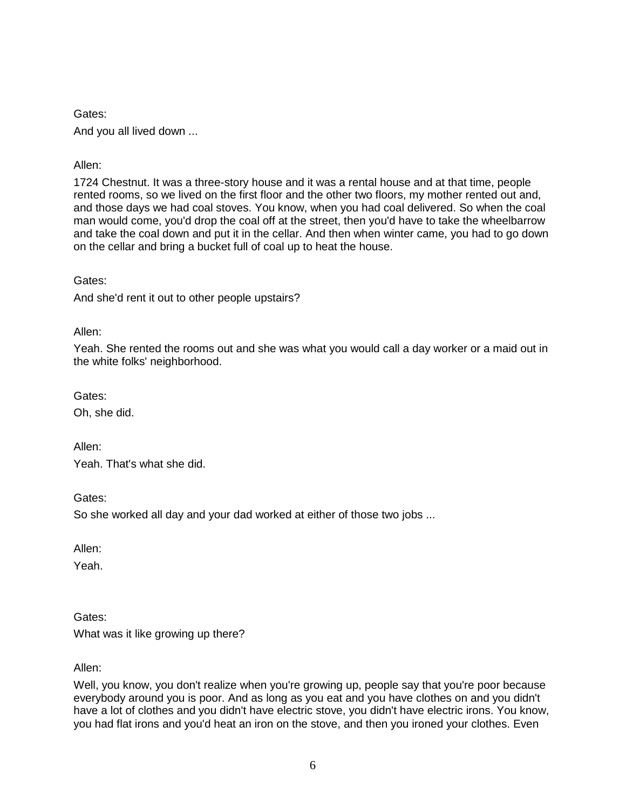Gates: And you all lived down ...

Allen:

1724 Chestnut. It was a three-story house and it was a rental house and at that time, people rented rooms, so we lived on the first floor and the other two floors, my mother rented out and, and those days we had coal stoves. You know, when you had coal delivered. So when the coal man would come, you'd drop the coal off at the street, then you'd have to take the wheelbarrow and take the coal down and put it in the cellar. And then when winter came, you had to go down on the cellar and bring a bucket full of coal up to heat the house.

Gates:

And she'd rent it out to other people upstairs?

Allen:

Yeah. She rented the rooms out and she was what you would call a day worker or a maid out in the white folks' neighborhood.

Gates:

Oh, she did.

Allen: Yeah. That's what she did.

Gates:

So she worked all day and your dad worked at either of those two jobs ...

Allen:

Yeah.

Gates:

What was it like growing up there?

Allen:

Well, you know, you don't realize when you're growing up, people say that you're poor because everybody around you is poor. And as long as you eat and you have clothes on and you didn't have a lot of clothes and you didn't have electric stove, you didn't have electric irons. You know, you had flat irons and you'd heat an iron on the stove, and then you ironed your clothes. Even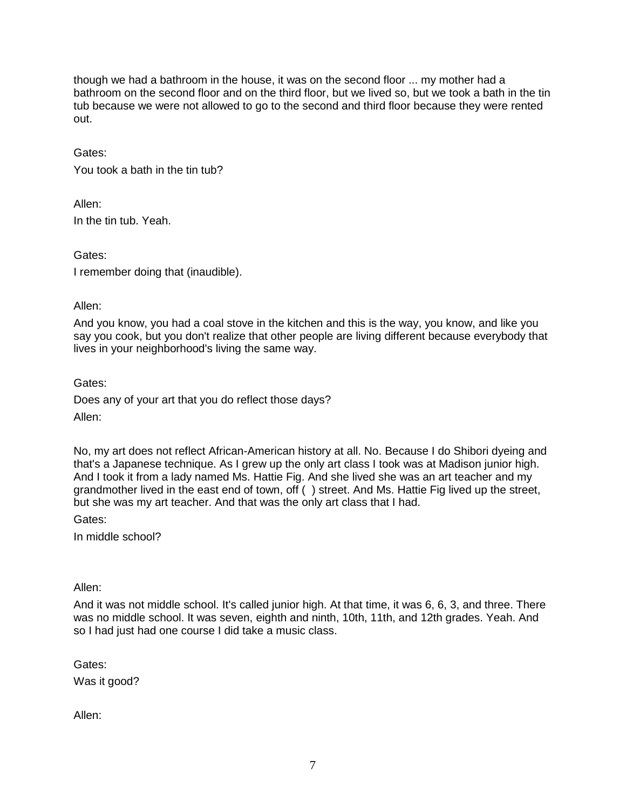though we had a bathroom in the house, it was on the second floor ... my mother had a bathroom on the second floor and on the third floor, but we lived so, but we took a bath in the tin tub because we were not allowed to go to the second and third floor because they were rented out.

### Gates:

You took a bath in the tin tub?

Allen: In the tin tub. Yeah.

Gates:

I remember doing that (inaudible).

#### Allen:

And you know, you had a coal stove in the kitchen and this is the way, you know, and like you say you cook, but you don't realize that other people are living different because everybody that lives in your neighborhood's living the same way.

Gates:

Does any of your art that you do reflect those days? Allen:

No, my art does not reflect African-American history at all. No. Because I do Shibori dyeing and that's a Japanese technique. As I grew up the only art class I took was at Madison junior high. And I took it from a lady named Ms. Hattie Fig. And she lived she was an art teacher and my grandmother lived in the east end of town, off ( ) street. And Ms. Hattie Fig lived up the street, but she was my art teacher. And that was the only art class that I had.

Gates:

In middle school?

Allen:

And it was not middle school. It's called junior high. At that time, it was 6, 6, 3, and three. There was no middle school. It was seven, eighth and ninth, 10th, 11th, and 12th grades. Yeah. And so I had just had one course I did take a music class.

Gates:

Was it good?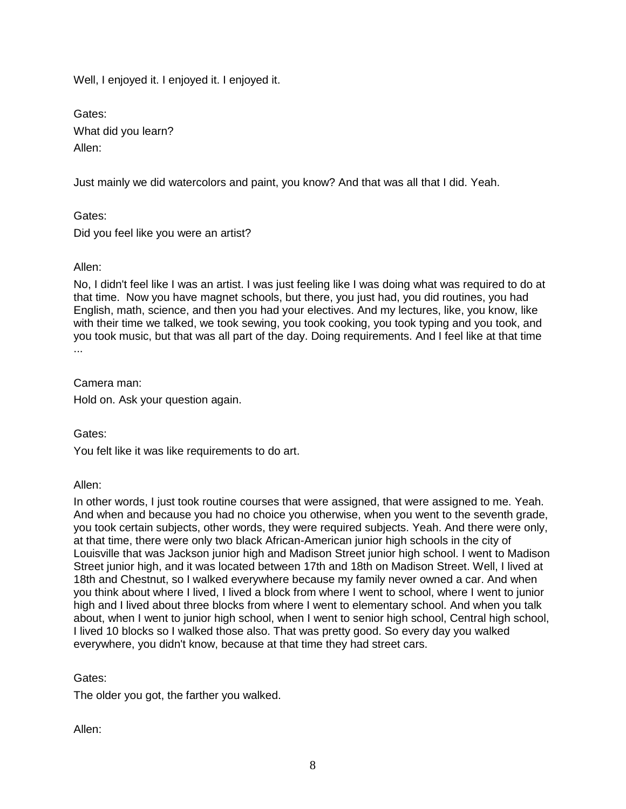Well, I enjoyed it. I enjoyed it. I enjoyed it.

Gates: What did you learn? Allen:

Just mainly we did watercolors and paint, you know? And that was all that I did. Yeah.

Gates: Did you feel like you were an artist?

### Allen:

No, I didn't feel like I was an artist. I was just feeling like I was doing what was required to do at that time. Now you have magnet schools, but there, you just had, you did routines, you had English, math, science, and then you had your electives. And my lectures, like, you know, like with their time we talked, we took sewing, you took cooking, you took typing and you took, and you took music, but that was all part of the day. Doing requirements. And I feel like at that time ...

Camera man:

Hold on. Ask your question again.

Gates:

You felt like it was like requirements to do art.

Allen:

In other words, I just took routine courses that were assigned, that were assigned to me. Yeah. And when and because you had no choice you otherwise, when you went to the seventh grade, you took certain subjects, other words, they were required subjects. Yeah. And there were only, at that time, there were only two black African-American junior high schools in the city of Louisville that was Jackson junior high and Madison Street junior high school. I went to Madison Street junior high, and it was located between 17th and 18th on Madison Street. Well, I lived at 18th and Chestnut, so I walked everywhere because my family never owned a car. And when you think about where I lived, I lived a block from where I went to school, where I went to junior high and I lived about three blocks from where I went to elementary school. And when you talk about, when I went to junior high school, when I went to senior high school, Central high school, I lived 10 blocks so I walked those also. That was pretty good. So every day you walked everywhere, you didn't know, because at that time they had street cars.

Gates:

The older you got, the farther you walked.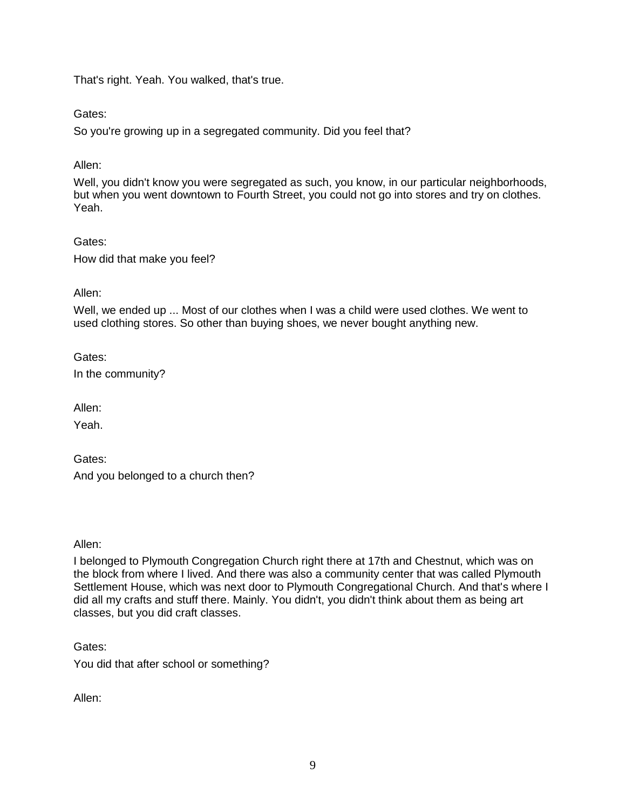That's right. Yeah. You walked, that's true.

Gates:

So you're growing up in a segregated community. Did you feel that?

Allen:

Well, you didn't know you were segregated as such, you know, in our particular neighborhoods, but when you went downtown to Fourth Street, you could not go into stores and try on clothes. Yeah.

Gates: How did that make you feel?

Allen:

Well, we ended up ... Most of our clothes when I was a child were used clothes. We went to used clothing stores. So other than buying shoes, we never bought anything new.

Gates: In the community?

Allen:

Yeah.

Gates: And you belonged to a church then?

Allen:

I belonged to Plymouth Congregation Church right there at 17th and Chestnut, which was on the block from where I lived. And there was also a community center that was called Plymouth Settlement House, which was next door to Plymouth Congregational Church. And that's where I did all my crafts and stuff there. Mainly. You didn't, you didn't think about them as being art classes, but you did craft classes.

Gates:

You did that after school or something?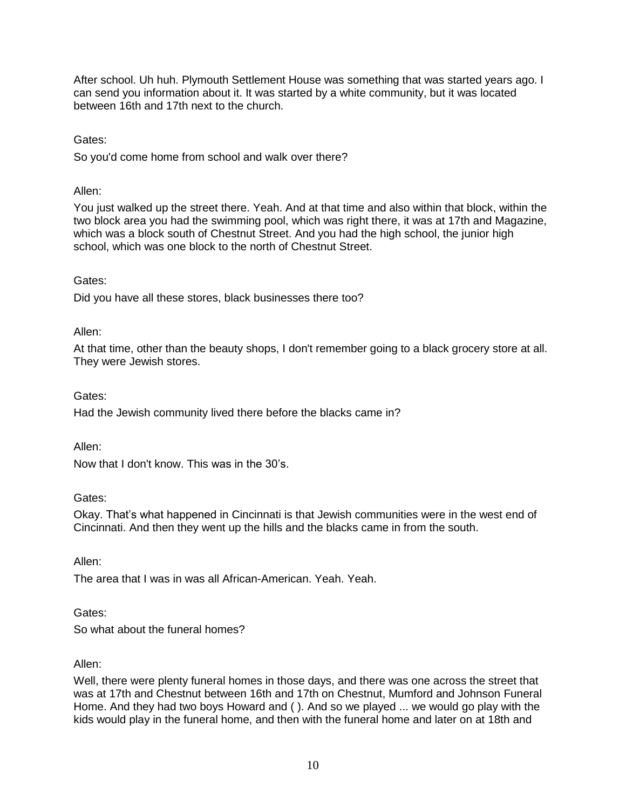After school. Uh huh. Plymouth Settlement House was something that was started years ago. I can send you information about it. It was started by a white community, but it was located between 16th and 17th next to the church.

Gates:

So you'd come home from school and walk over there?

Allen:

You just walked up the street there. Yeah. And at that time and also within that block, within the two block area you had the swimming pool, which was right there, it was at 17th and Magazine, which was a block south of Chestnut Street. And you had the high school, the junior high school, which was one block to the north of Chestnut Street.

## Gates:

Did you have all these stores, black businesses there too?

Allen:

At that time, other than the beauty shops, I don't remember going to a black grocery store at all. They were Jewish stores.

Gates:

Had the Jewish community lived there before the blacks came in?

Allen:

Now that I don't know. This was in the 30's.

Gates:

Okay. That's what happened in Cincinnati is that Jewish communities were in the west end of Cincinnati. And then they went up the hills and the blacks came in from the south.

Allen:

The area that I was in was all African-American. Yeah. Yeah.

Gates:

So what about the funeral homes?

### Allen:

Well, there were plenty funeral homes in those days, and there was one across the street that was at 17th and Chestnut between 16th and 17th on Chestnut, Mumford and Johnson Funeral Home. And they had two boys Howard and ( ). And so we played ... we would go play with the kids would play in the funeral home, and then with the funeral home and later on at 18th and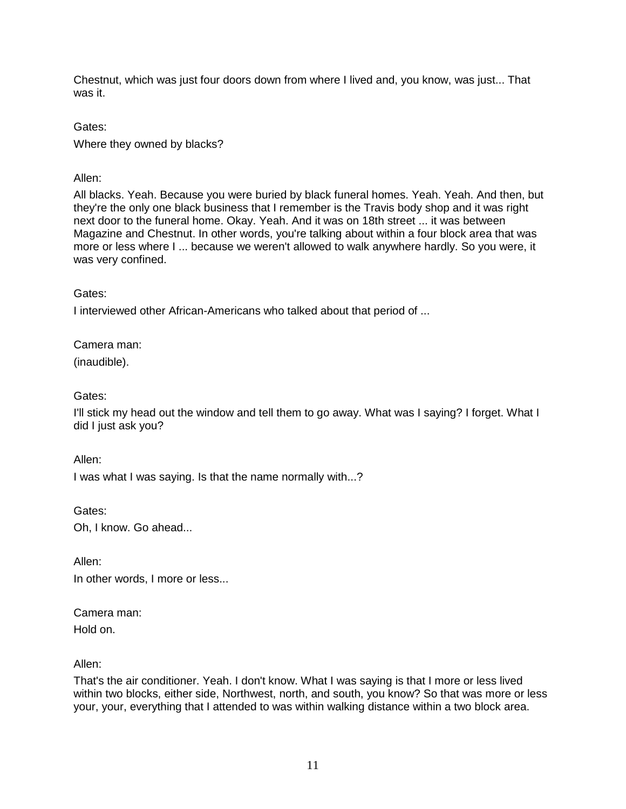Chestnut, which was just four doors down from where I lived and, you know, was just... That was it.

Gates: Where they owned by blacks?

# Allen:

All blacks. Yeah. Because you were buried by black funeral homes. Yeah. Yeah. And then, but they're the only one black business that I remember is the Travis body shop and it was right next door to the funeral home. Okay. Yeah. And it was on 18th street ... it was between Magazine and Chestnut. In other words, you're talking about within a four block area that was more or less where I ... because we weren't allowed to walk anywhere hardly. So you were, it was very confined.

Gates:

I interviewed other African-Americans who talked about that period of ...

Camera man:

(inaudible).

Gates:

I'll stick my head out the window and tell them to go away. What was I saying? I forget. What I did I just ask you?

Allen:

I was what I was saying. Is that the name normally with...?

Gates: Oh, I know. Go ahead...

Allen: In other words, I more or less...

Camera man: Hold on.

Allen:

That's the air conditioner. Yeah. I don't know. What I was saying is that I more or less lived within two blocks, either side, Northwest, north, and south, you know? So that was more or less your, your, everything that I attended to was within walking distance within a two block area.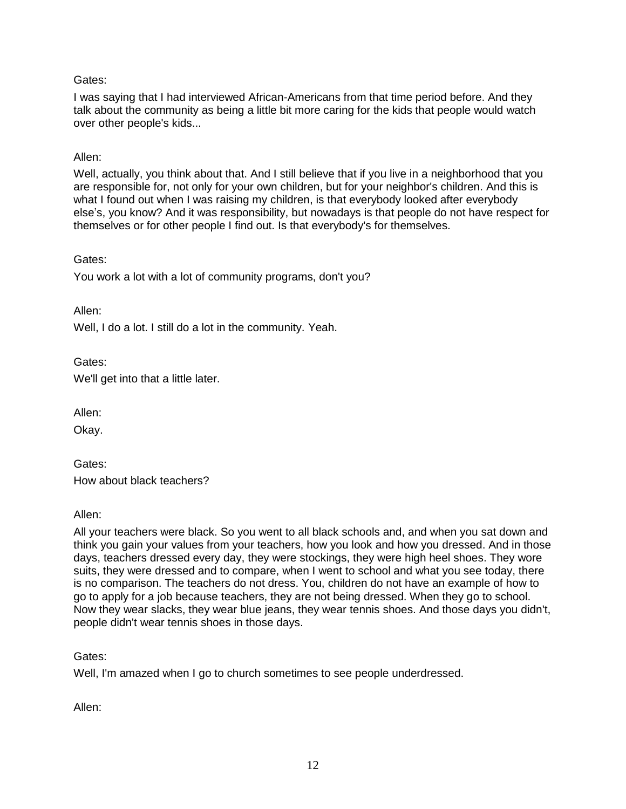I was saying that I had interviewed African-Americans from that time period before. And they talk about the community as being a little bit more caring for the kids that people would watch over other people's kids...

### Allen:

Well, actually, you think about that. And I still believe that if you live in a neighborhood that you are responsible for, not only for your own children, but for your neighbor's children. And this is what I found out when I was raising my children, is that everybody looked after everybody else's, you know? And it was responsibility, but nowadays is that people do not have respect for themselves or for other people I find out. Is that everybody's for themselves.

### Gates:

You work a lot with a lot of community programs, don't you?

Allen:

Well, I do a lot. I still do a lot in the community. Yeah.

## Gates:

We'll get into that a little later.

Allen:

Okay.

Gates: How about black teachers?

Allen:

All your teachers were black. So you went to all black schools and, and when you sat down and think you gain your values from your teachers, how you look and how you dressed. And in those days, teachers dressed every day, they were stockings, they were high heel shoes. They wore suits, they were dressed and to compare, when I went to school and what you see today, there is no comparison. The teachers do not dress. You, children do not have an example of how to go to apply for a job because teachers, they are not being dressed. When they go to school. Now they wear slacks, they wear blue jeans, they wear tennis shoes. And those days you didn't, people didn't wear tennis shoes in those days.

### Gates:

Well, I'm amazed when I go to church sometimes to see people underdressed.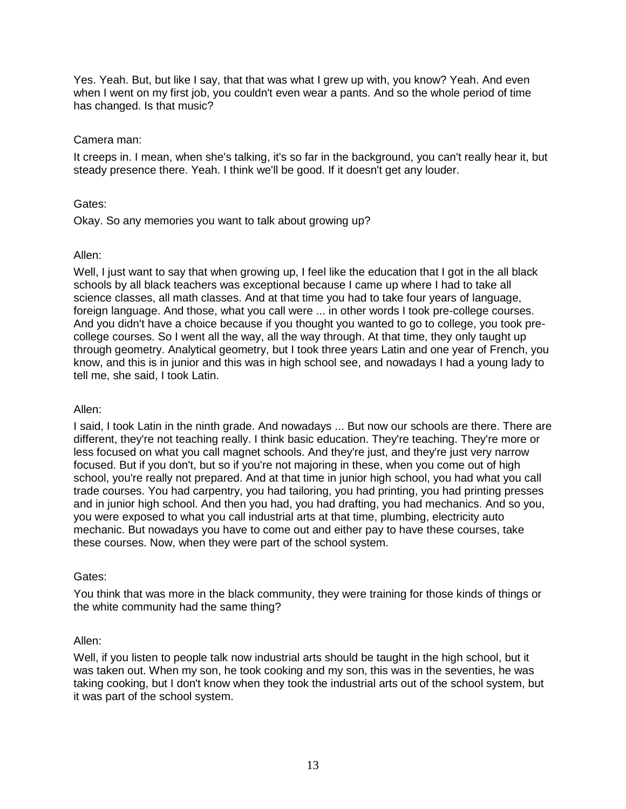Yes. Yeah. But, but like I say, that that was what I grew up with, you know? Yeah. And even when I went on my first job, you couldn't even wear a pants. And so the whole period of time has changed. Is that music?

### Camera man:

It creeps in. I mean, when she's talking, it's so far in the background, you can't really hear it, but steady presence there. Yeah. I think we'll be good. If it doesn't get any louder.

## Gates:

Okay. So any memories you want to talk about growing up?

## Allen:

Well, I just want to say that when growing up, I feel like the education that I got in the all black schools by all black teachers was exceptional because I came up where I had to take all science classes, all math classes. And at that time you had to take four years of language, foreign language. And those, what you call were ... in other words I took pre-college courses. And you didn't have a choice because if you thought you wanted to go to college, you took precollege courses. So I went all the way, all the way through. At that time, they only taught up through geometry. Analytical geometry, but I took three years Latin and one year of French, you know, and this is in junior and this was in high school see, and nowadays I had a young lady to tell me, she said, I took Latin.

### Allen:

I said, I took Latin in the ninth grade. And nowadays ... But now our schools are there. There are different, they're not teaching really. I think basic education. They're teaching. They're more or less focused on what you call magnet schools. And they're just, and they're just very narrow focused. But if you don't, but so if you're not majoring in these, when you come out of high school, you're really not prepared. And at that time in junior high school, you had what you call trade courses. You had carpentry, you had tailoring, you had printing, you had printing presses and in junior high school. And then you had, you had drafting, you had mechanics. And so you, you were exposed to what you call industrial arts at that time, plumbing, electricity auto mechanic. But nowadays you have to come out and either pay to have these courses, take these courses. Now, when they were part of the school system.

### Gates:

You think that was more in the black community, they were training for those kinds of things or the white community had the same thing?

## Allen:

Well, if you listen to people talk now industrial arts should be taught in the high school, but it was taken out. When my son, he took cooking and my son, this was in the seventies, he was taking cooking, but I don't know when they took the industrial arts out of the school system, but it was part of the school system.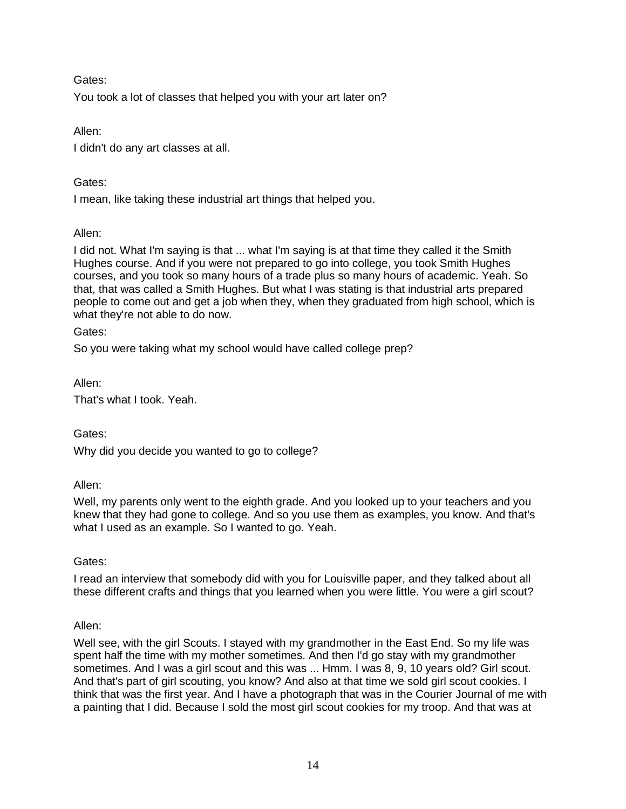You took a lot of classes that helped you with your art later on?

Allen:

I didn't do any art classes at all.

## Gates:

I mean, like taking these industrial art things that helped you.

## Allen:

I did not. What I'm saying is that ... what I'm saying is at that time they called it the Smith Hughes course. And if you were not prepared to go into college, you took Smith Hughes courses, and you took so many hours of a trade plus so many hours of academic. Yeah. So that, that was called a Smith Hughes. But what I was stating is that industrial arts prepared people to come out and get a job when they, when they graduated from high school, which is what they're not able to do now.

Gates:

So you were taking what my school would have called college prep?

Allen:

That's what I took. Yeah.

Gates:

Why did you decide you wanted to go to college?

Allen:

Well, my parents only went to the eighth grade. And you looked up to your teachers and you knew that they had gone to college. And so you use them as examples, you know. And that's what I used as an example. So I wanted to go. Yeah.

Gates:

I read an interview that somebody did with you for Louisville paper, and they talked about all these different crafts and things that you learned when you were little. You were a girl scout?

### Allen:

Well see, with the girl Scouts. I stayed with my grandmother in the East End. So my life was spent half the time with my mother sometimes. And then I'd go stay with my grandmother sometimes. And I was a girl scout and this was ... Hmm. I was 8, 9, 10 years old? Girl scout. And that's part of girl scouting, you know? And also at that time we sold girl scout cookies. I think that was the first year. And I have a photograph that was in the Courier Journal of me with a painting that I did. Because I sold the most girl scout cookies for my troop. And that was at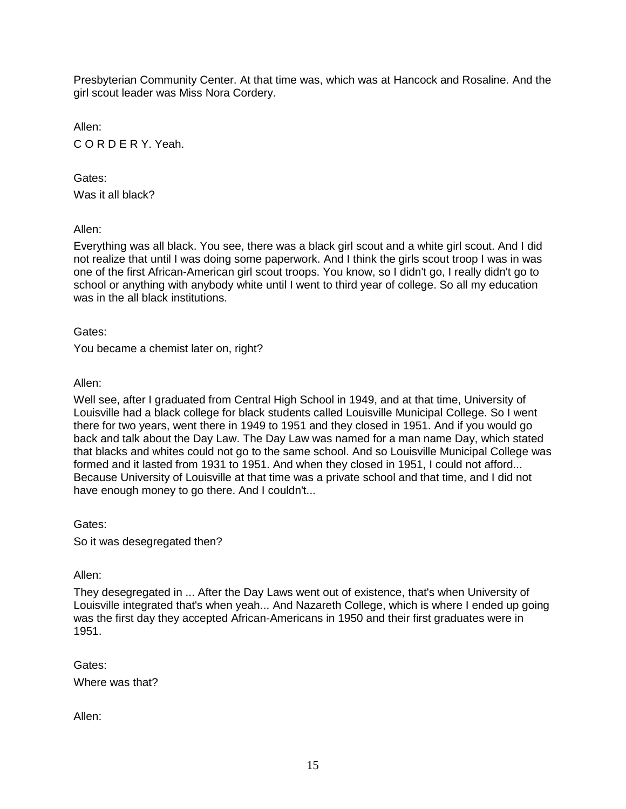Presbyterian Community Center. At that time was, which was at Hancock and Rosaline. And the girl scout leader was Miss Nora Cordery.

Allen: C O R D E R Y. Yeah.

Gates: Was it all black?

Allen:

Everything was all black. You see, there was a black girl scout and a white girl scout. And I did not realize that until I was doing some paperwork. And I think the girls scout troop I was in was one of the first African-American girl scout troops. You know, so I didn't go, I really didn't go to school or anything with anybody white until I went to third year of college. So all my education was in the all black institutions.

Gates:

You became a chemist later on, right?

Allen:

Well see, after I graduated from Central High School in 1949, and at that time, University of Louisville had a black college for black students called Louisville Municipal College. So I went there for two years, went there in 1949 to 1951 and they closed in 1951. And if you would go back and talk about the Day Law. The Day Law was named for a man name Day, which stated that blacks and whites could not go to the same school. And so Louisville Municipal College was formed and it lasted from 1931 to 1951. And when they closed in 1951, I could not afford... Because University of Louisville at that time was a private school and that time, and I did not have enough money to go there. And I couldn't...

Gates:

So it was desegregated then?

Allen:

They desegregated in ... After the Day Laws went out of existence, that's when University of Louisville integrated that's when yeah... And Nazareth College, which is where I ended up going was the first day they accepted African-Americans in 1950 and their first graduates were in 1951.

Gates: Where was that?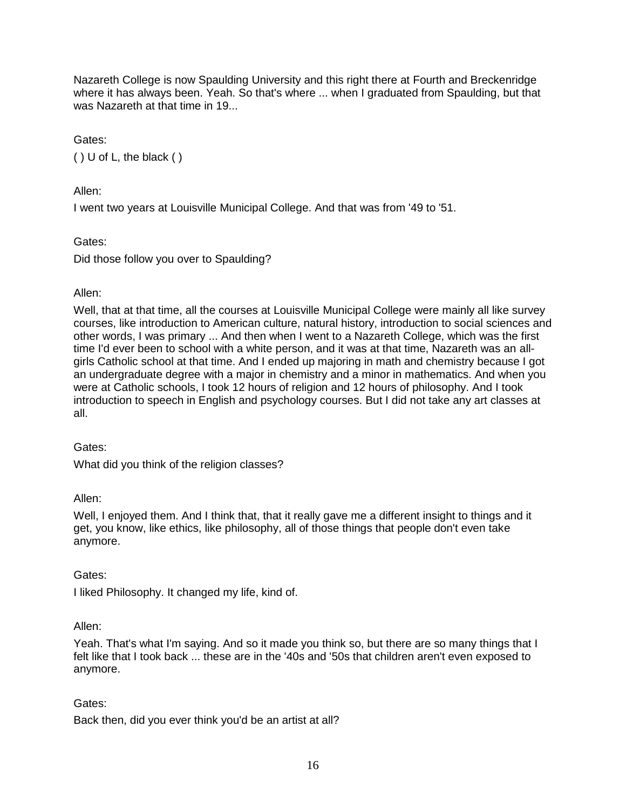Nazareth College is now Spaulding University and this right there at Fourth and Breckenridge where it has always been. Yeah. So that's where ... when I graduated from Spaulding, but that was Nazareth at that time in 19.

Gates:

( ) U of L, the black ( )

Allen:

I went two years at Louisville Municipal College. And that was from '49 to '51.

Gates:

Did those follow you over to Spaulding?

### Allen:

Well, that at that time, all the courses at Louisville Municipal College were mainly all like survey courses, like introduction to American culture, natural history, introduction to social sciences and other words, I was primary ... And then when I went to a Nazareth College, which was the first time I'd ever been to school with a white person, and it was at that time, Nazareth was an allgirls Catholic school at that time. And I ended up majoring in math and chemistry because I got an undergraduate degree with a major in chemistry and a minor in mathematics. And when you were at Catholic schools, I took 12 hours of religion and 12 hours of philosophy. And I took introduction to speech in English and psychology courses. But I did not take any art classes at all.

Gates:

What did you think of the religion classes?

Allen:

Well, I enjoyed them. And I think that, that it really gave me a different insight to things and it get, you know, like ethics, like philosophy, all of those things that people don't even take anymore.

Gates:

I liked Philosophy. It changed my life, kind of.

### Allen:

Yeah. That's what I'm saying. And so it made you think so, but there are so many things that I felt like that I took back ... these are in the '40s and '50s that children aren't even exposed to anymore.

### Gates:

Back then, did you ever think you'd be an artist at all?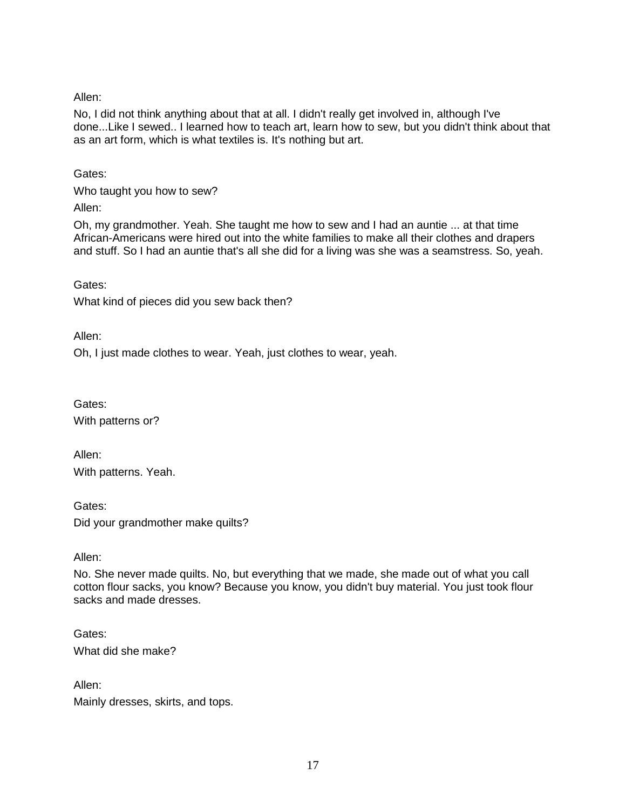Allen:

No, I did not think anything about that at all. I didn't really get involved in, although I've done...Like I sewed.. I learned how to teach art, learn how to sew, but you didn't think about that as an art form, which is what textiles is. It's nothing but art.

Gates:

Who taught you how to sew?

Allen:

Oh, my grandmother. Yeah. She taught me how to sew and I had an auntie ... at that time African-Americans were hired out into the white families to make all their clothes and drapers and stuff. So I had an auntie that's all she did for a living was she was a seamstress. So, yeah.

Gates:

What kind of pieces did you sew back then?

Allen:

Oh, I just made clothes to wear. Yeah, just clothes to wear, yeah.

Gates: With patterns or?

Allen: With patterns. Yeah.

Gates: Did your grandmother make quilts?

Allen:

No. She never made quilts. No, but everything that we made, she made out of what you call cotton flour sacks, you know? Because you know, you didn't buy material. You just took flour sacks and made dresses.

Gates: What did she make?

Allen: Mainly dresses, skirts, and tops.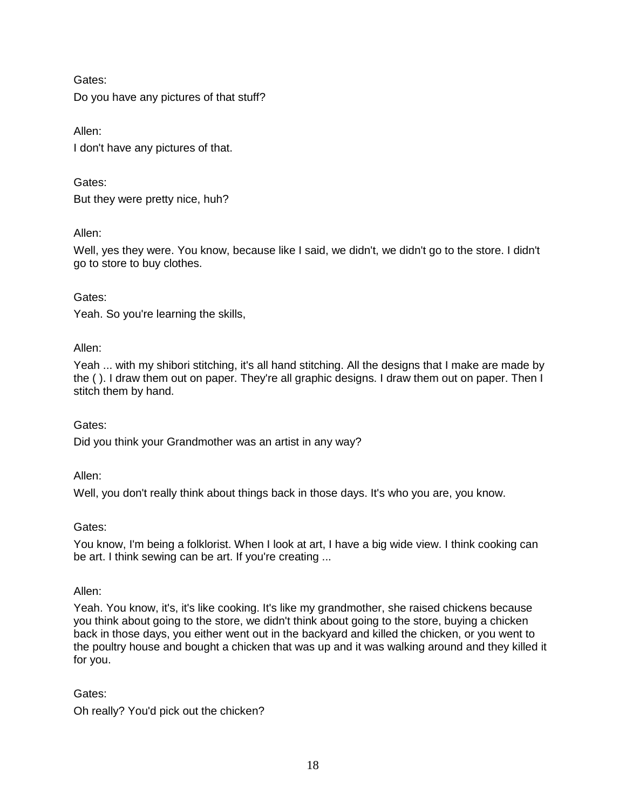Gates: Do you have any pictures of that stuff?

Allen: I don't have any pictures of that.

Gates: But they were pretty nice, huh?

Allen:

Well, yes they were. You know, because like I said, we didn't, we didn't go to the store. I didn't go to store to buy clothes.

## Gates:

Yeah. So you're learning the skills,

## Allen:

Yeah ... with my shibori stitching, it's all hand stitching. All the designs that I make are made by the ( ). I draw them out on paper. They're all graphic designs. I draw them out on paper. Then I stitch them by hand.

## Gates:

Did you think your Grandmother was an artist in any way?

Allen:

Well, you don't really think about things back in those days. It's who you are, you know.

## Gates:

You know, I'm being a folklorist. When I look at art, I have a big wide view. I think cooking can be art. I think sewing can be art. If you're creating ...

## Allen:

Yeah. You know, it's, it's like cooking. It's like my grandmother, she raised chickens because you think about going to the store, we didn't think about going to the store, buying a chicken back in those days, you either went out in the backyard and killed the chicken, or you went to the poultry house and bought a chicken that was up and it was walking around and they killed it for you.

## Gates:

Oh really? You'd pick out the chicken?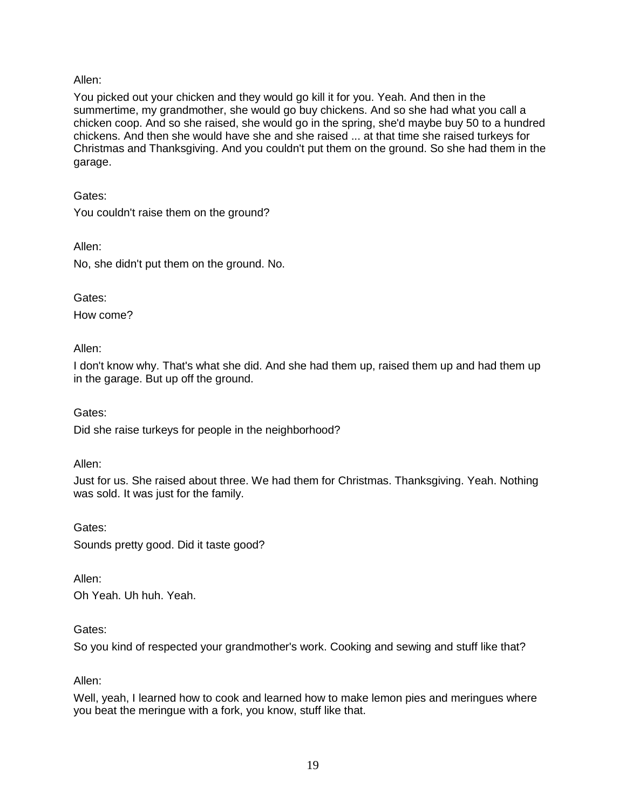### Allen:

You picked out your chicken and they would go kill it for you. Yeah. And then in the summertime, my grandmother, she would go buy chickens. And so she had what you call a chicken coop. And so she raised, she would go in the spring, she'd maybe buy 50 to a hundred chickens. And then she would have she and she raised ... at that time she raised turkeys for Christmas and Thanksgiving. And you couldn't put them on the ground. So she had them in the garage.

Gates:

You couldn't raise them on the ground?

Allen:

No, she didn't put them on the ground. No.

Gates:

How come?

Allen:

I don't know why. That's what she did. And she had them up, raised them up and had them up in the garage. But up off the ground.

Gates:

Did she raise turkeys for people in the neighborhood?

Allen:

Just for us. She raised about three. We had them for Christmas. Thanksgiving. Yeah. Nothing was sold. It was just for the family.

Gates: Sounds pretty good. Did it taste good?

Allen: Oh Yeah. Uh huh. Yeah.

Gates:

So you kind of respected your grandmother's work. Cooking and sewing and stuff like that?

Allen:

Well, yeah, I learned how to cook and learned how to make lemon pies and meringues where you beat the meringue with a fork, you know, stuff like that.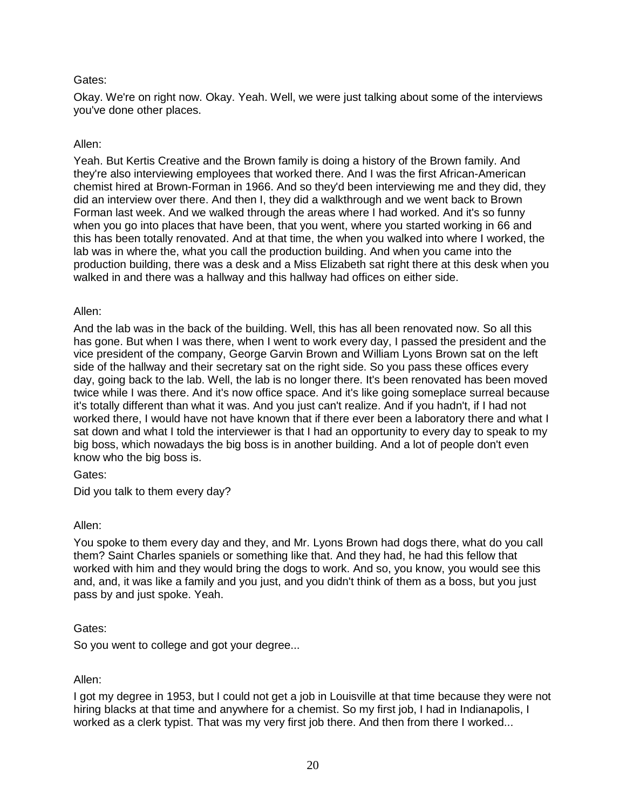Okay. We're on right now. Okay. Yeah. Well, we were just talking about some of the interviews you've done other places.

#### Allen:

Yeah. But Kertis Creative and the Brown family is doing a history of the Brown family. And they're also interviewing employees that worked there. And I was the first African-American chemist hired at Brown-Forman in 1966. And so they'd been interviewing me and they did, they did an interview over there. And then I, they did a walkthrough and we went back to Brown Forman last week. And we walked through the areas where I had worked. And it's so funny when you go into places that have been, that you went, where you started working in 66 and this has been totally renovated. And at that time, the when you walked into where I worked, the lab was in where the, what you call the production building. And when you came into the production building, there was a desk and a Miss Elizabeth sat right there at this desk when you walked in and there was a hallway and this hallway had offices on either side.

#### Allen:

And the lab was in the back of the building. Well, this has all been renovated now. So all this has gone. But when I was there, when I went to work every day, I passed the president and the vice president of the company, George Garvin Brown and William Lyons Brown sat on the left side of the hallway and their secretary sat on the right side. So you pass these offices every day, going back to the lab. Well, the lab is no longer there. It's been renovated has been moved twice while I was there. And it's now office space. And it's like going someplace surreal because it's totally different than what it was. And you just can't realize. And if you hadn't, if I had not worked there, I would have not have known that if there ever been a laboratory there and what I sat down and what I told the interviewer is that I had an opportunity to every day to speak to my big boss, which nowadays the big boss is in another building. And a lot of people don't even know who the big boss is.

Gates:

Did you talk to them every day?

### Allen:

You spoke to them every day and they, and Mr. Lyons Brown had dogs there, what do you call them? Saint Charles spaniels or something like that. And they had, he had this fellow that worked with him and they would bring the dogs to work. And so, you know, you would see this and, and, it was like a family and you just, and you didn't think of them as a boss, but you just pass by and just spoke. Yeah.

### Gates:

So you went to college and got your degree...

#### Allen:

I got my degree in 1953, but I could not get a job in Louisville at that time because they were not hiring blacks at that time and anywhere for a chemist. So my first job, I had in Indianapolis, I worked as a clerk typist. That was my very first job there. And then from there I worked...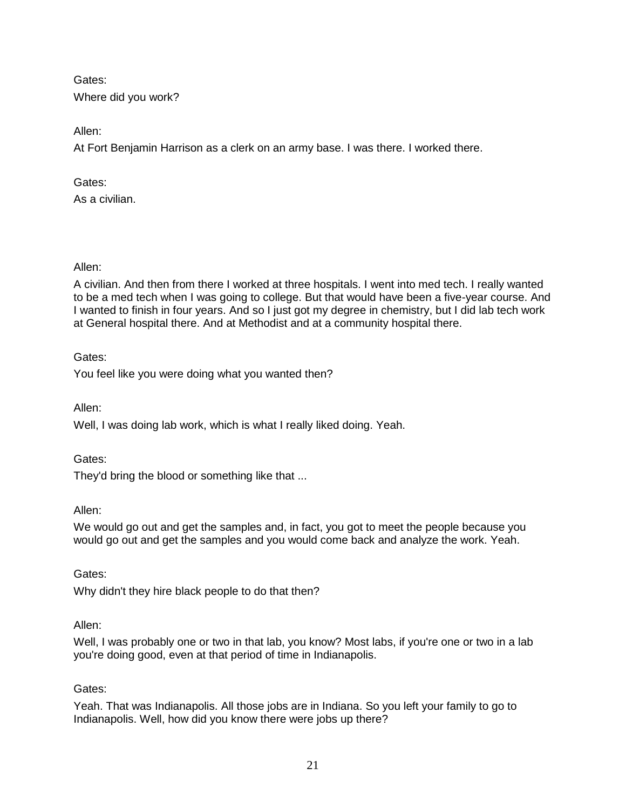Gates: Where did you work?

Allen:

At Fort Benjamin Harrison as a clerk on an army base. I was there. I worked there.

Gates:

As a civilian.

Allen:

A civilian. And then from there I worked at three hospitals. I went into med tech. I really wanted to be a med tech when I was going to college. But that would have been a five-year course. And I wanted to finish in four years. And so I just got my degree in chemistry, but I did lab tech work at General hospital there. And at Methodist and at a community hospital there.

Gates:

You feel like you were doing what you wanted then?

Allen:

Well, I was doing lab work, which is what I really liked doing. Yeah.

Gates:

They'd bring the blood or something like that ...

Allen:

We would go out and get the samples and, in fact, you got to meet the people because you would go out and get the samples and you would come back and analyze the work. Yeah.

Gates:

Why didn't they hire black people to do that then?

## Allen:

Well, I was probably one or two in that lab, you know? Most labs, if you're one or two in a lab you're doing good, even at that period of time in Indianapolis.

## Gates:

Yeah. That was Indianapolis. All those jobs are in Indiana. So you left your family to go to Indianapolis. Well, how did you know there were jobs up there?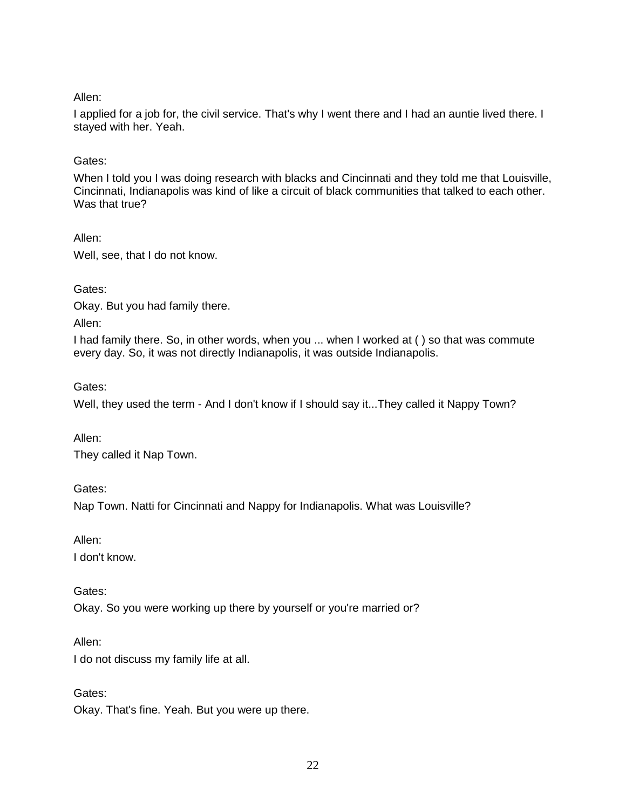### Allen:

I applied for a job for, the civil service. That's why I went there and I had an auntie lived there. I stayed with her. Yeah.

#### Gates:

When I told you I was doing research with blacks and Cincinnati and they told me that Louisville, Cincinnati, Indianapolis was kind of like a circuit of black communities that talked to each other. Was that true?

Allen:

Well, see, that I do not know.

Gates:

Okay. But you had family there.

Allen:

I had family there. So, in other words, when you ... when I worked at ( ) so that was commute every day. So, it was not directly Indianapolis, it was outside Indianapolis.

Gates:

Well, they used the term - And I don't know if I should say it...They called it Nappy Town?

Allen:

They called it Nap Town.

Gates:

Nap Town. Natti for Cincinnati and Nappy for Indianapolis. What was Louisville?

Allen:

I don't know.

Gates:

Okay. So you were working up there by yourself or you're married or?

Allen:

I do not discuss my family life at all.

Gates:

Okay. That's fine. Yeah. But you were up there.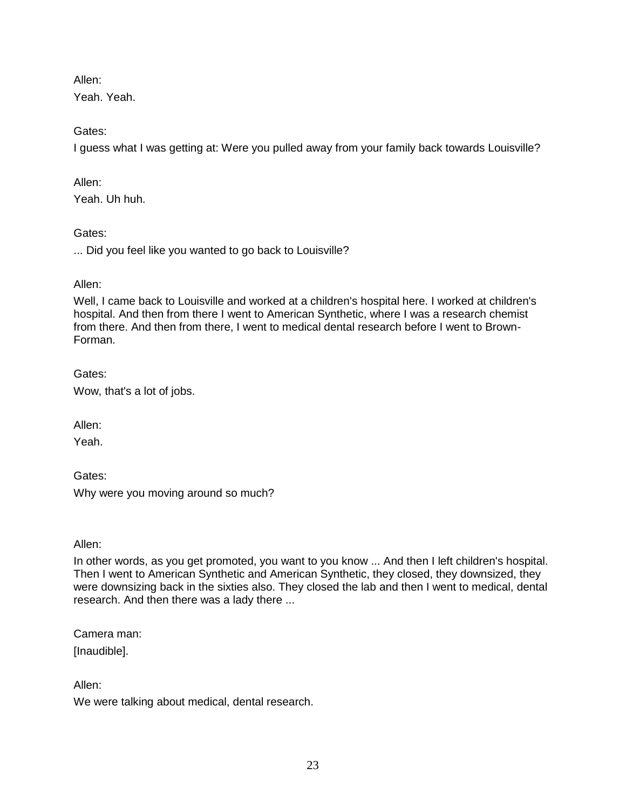Allen:

Yeah. Yeah.

Gates:

I guess what I was getting at: Were you pulled away from your family back towards Louisville?

Allen:

Yeah. Uh huh.

Gates:

... Did you feel like you wanted to go back to Louisville?

### Allen:

Well, I came back to Louisville and worked at a children's hospital here. I worked at children's hospital. And then from there I went to American Synthetic, where I was a research chemist from there. And then from there, I went to medical dental research before I went to Brown-Forman.

Gates: Wow, that's a lot of jobs.

Allen:

Yeah.

Gates:

Why were you moving around so much?

Allen:

In other words, as you get promoted, you want to you know ... And then I left children's hospital. Then I went to American Synthetic and American Synthetic, they closed, they downsized, they were downsizing back in the sixties also. They closed the lab and then I went to medical, dental research. And then there was a lady there ...

Camera man:

[Inaudible].

Allen:

We were talking about medical, dental research.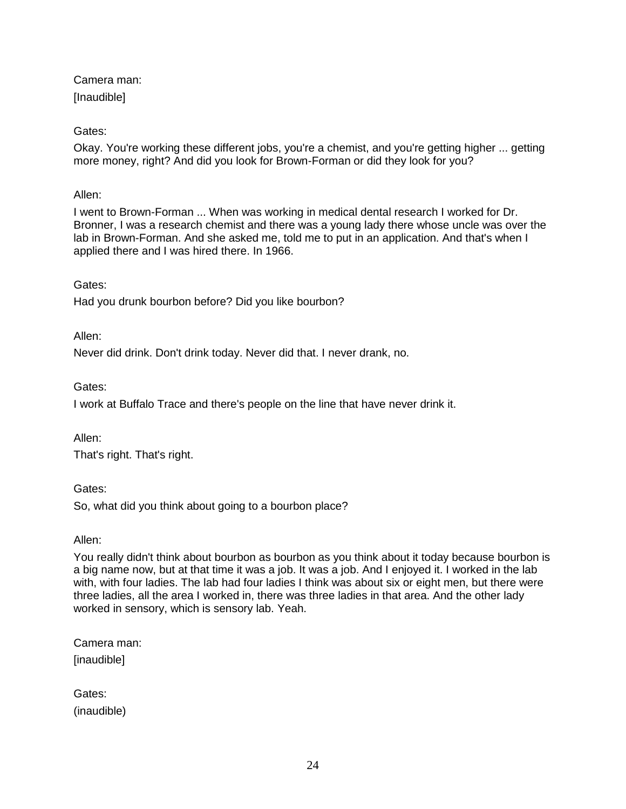Camera man: **Inaudible1** 

# Gates:

Okay. You're working these different jobs, you're a chemist, and you're getting higher ... getting more money, right? And did you look for Brown-Forman or did they look for you?

## Allen:

I went to Brown-Forman ... When was working in medical dental research I worked for Dr. Bronner, I was a research chemist and there was a young lady there whose uncle was over the lab in Brown-Forman. And she asked me, told me to put in an application. And that's when I applied there and I was hired there. In 1966.

## Gates:

Had you drunk bourbon before? Did you like bourbon?

Allen:

Never did drink. Don't drink today. Never did that. I never drank, no.

## Gates:

I work at Buffalo Trace and there's people on the line that have never drink it.

Allen:

That's right. That's right.

Gates:

So, what did you think about going to a bourbon place?

Allen:

You really didn't think about bourbon as bourbon as you think about it today because bourbon is a big name now, but at that time it was a job. It was a job. And I enjoyed it. I worked in the lab with, with four ladies. The lab had four ladies I think was about six or eight men, but there were three ladies, all the area I worked in, there was three ladies in that area. And the other lady worked in sensory, which is sensory lab. Yeah.

Camera man: [inaudible]

| Gates:      |
|-------------|
| (inaudible) |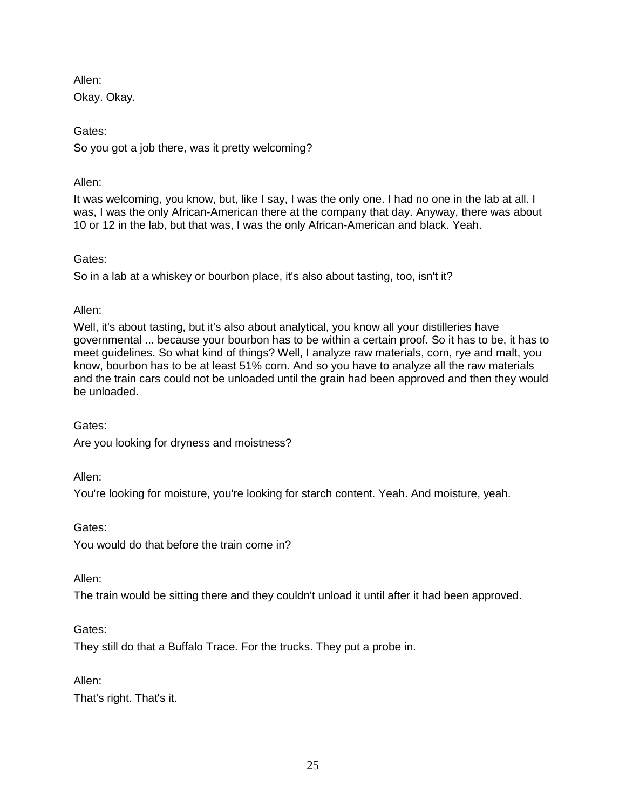Allen: Okay. Okay.

Gates: So you got a job there, was it pretty welcoming?

## Allen:

It was welcoming, you know, but, like I say, I was the only one. I had no one in the lab at all. I was, I was the only African-American there at the company that day. Anyway, there was about 10 or 12 in the lab, but that was, I was the only African-American and black. Yeah.

## Gates:

So in a lab at a whiskey or bourbon place, it's also about tasting, too, isn't it?

Allen:

Well, it's about tasting, but it's also about analytical, you know all your distilleries have governmental ... because your bourbon has to be within a certain proof. So it has to be, it has to meet guidelines. So what kind of things? Well, I analyze raw materials, corn, rye and malt, you know, bourbon has to be at least 51% corn. And so you have to analyze all the raw materials and the train cars could not be unloaded until the grain had been approved and then they would be unloaded.

Gates: Are you looking for dryness and moistness?

Allen:

You're looking for moisture, you're looking for starch content. Yeah. And moisture, yeah.

Gates:

You would do that before the train come in?

Allen:

The train would be sitting there and they couldn't unload it until after it had been approved.

Gates:

They still do that a Buffalo Trace. For the trucks. They put a probe in.

Allen:

That's right. That's it.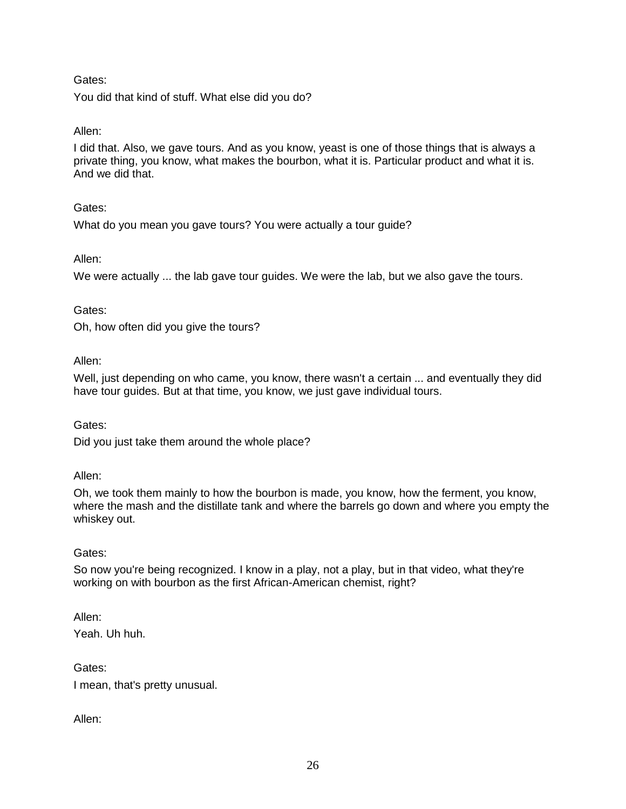You did that kind of stuff. What else did you do?

## Allen:

I did that. Also, we gave tours. And as you know, yeast is one of those things that is always a private thing, you know, what makes the bourbon, what it is. Particular product and what it is. And we did that.

### Gates:

What do you mean you gave tours? You were actually a tour guide?

#### Allen:

We were actually ... the lab gave tour guides. We were the lab, but we also gave the tours.

#### Gates:

Oh, how often did you give the tours?

#### Allen:

Well, just depending on who came, you know, there wasn't a certain ... and eventually they did have tour guides. But at that time, you know, we just gave individual tours.

#### Gates:

Did you just take them around the whole place?

#### Allen:

Oh, we took them mainly to how the bourbon is made, you know, how the ferment, you know, where the mash and the distillate tank and where the barrels go down and where you empty the whiskey out.

### Gates:

So now you're being recognized. I know in a play, not a play, but in that video, what they're working on with bourbon as the first African-American chemist, right?

Allen:

Yeah. Uh huh.

Gates: I mean, that's pretty unusual.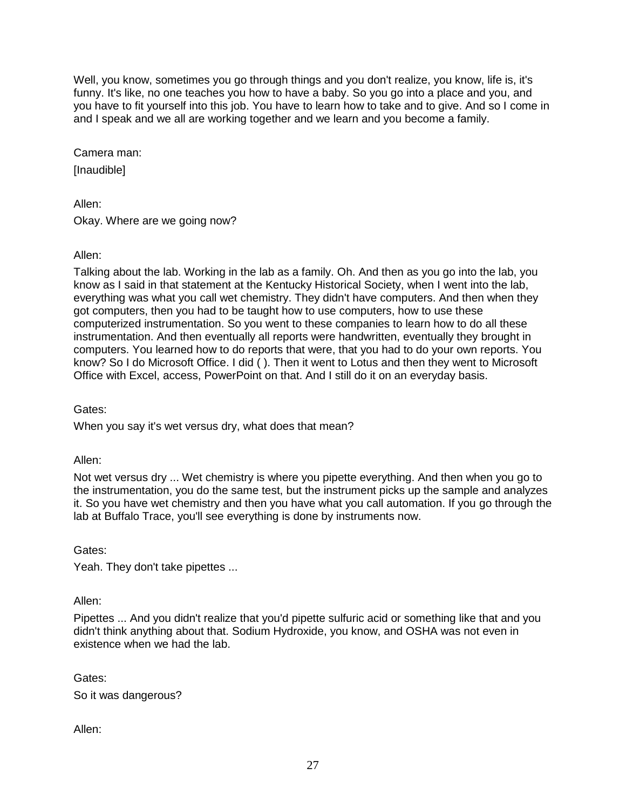Well, you know, sometimes you go through things and you don't realize, you know, life is, it's funny. It's like, no one teaches you how to have a baby. So you go into a place and you, and you have to fit yourself into this job. You have to learn how to take and to give. And so I come in and I speak and we all are working together and we learn and you become a family.

Camera man: **Inaudible1** 

Allen: Okay. Where are we going now?

Allen:

Talking about the lab. Working in the lab as a family. Oh. And then as you go into the lab, you know as I said in that statement at the Kentucky Historical Society, when I went into the lab, everything was what you call wet chemistry. They didn't have computers. And then when they got computers, then you had to be taught how to use computers, how to use these computerized instrumentation. So you went to these companies to learn how to do all these instrumentation. And then eventually all reports were handwritten, eventually they brought in computers. You learned how to do reports that were, that you had to do your own reports. You know? So I do Microsoft Office. I did ( ). Then it went to Lotus and then they went to Microsoft Office with Excel, access, PowerPoint on that. And I still do it on an everyday basis.

Gates:

When you say it's wet versus dry, what does that mean?

Allen:

Not wet versus dry ... Wet chemistry is where you pipette everything. And then when you go to the instrumentation, you do the same test, but the instrument picks up the sample and analyzes it. So you have wet chemistry and then you have what you call automation. If you go through the lab at Buffalo Trace, you'll see everything is done by instruments now.

Gates:

Yeah. They don't take pipettes ...

Allen:

Pipettes ... And you didn't realize that you'd pipette sulfuric acid or something like that and you didn't think anything about that. Sodium Hydroxide, you know, and OSHA was not even in existence when we had the lab.

Gates: So it was dangerous?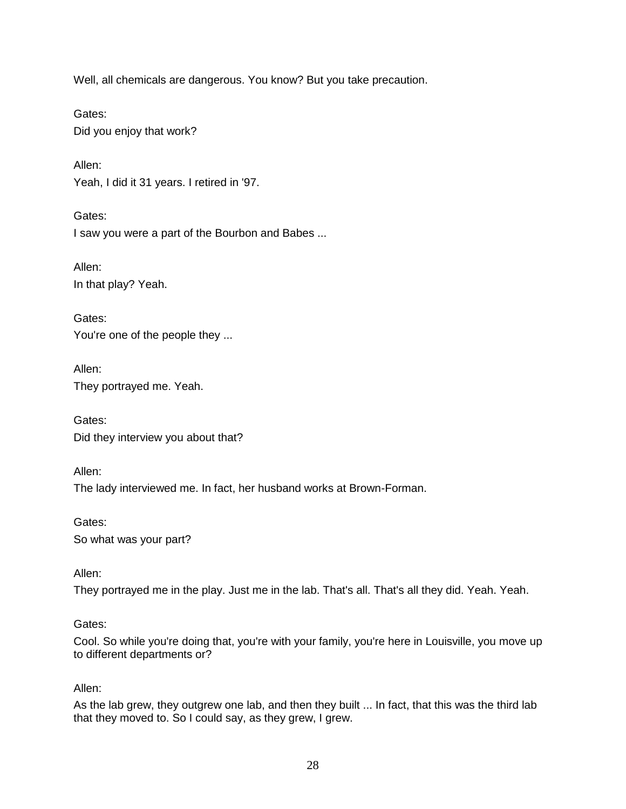Well, all chemicals are dangerous. You know? But you take precaution.

Gates: Did you enjoy that work?

Allen: Yeah, I did it 31 years. I retired in '97.

Gates: I saw you were a part of the Bourbon and Babes ...

Allen: In that play? Yeah.

Gates: You're one of the people they ...

Allen: They portrayed me. Yeah.

Gates: Did they interview you about that?

Allen: The lady interviewed me. In fact, her husband works at Brown-Forman.

Gates: So what was your part?

Allen:

They portrayed me in the play. Just me in the lab. That's all. That's all they did. Yeah. Yeah.

### Gates:

Cool. So while you're doing that, you're with your family, you're here in Louisville, you move up to different departments or?

### Allen:

As the lab grew, they outgrew one lab, and then they built ... In fact, that this was the third lab that they moved to. So I could say, as they grew, I grew.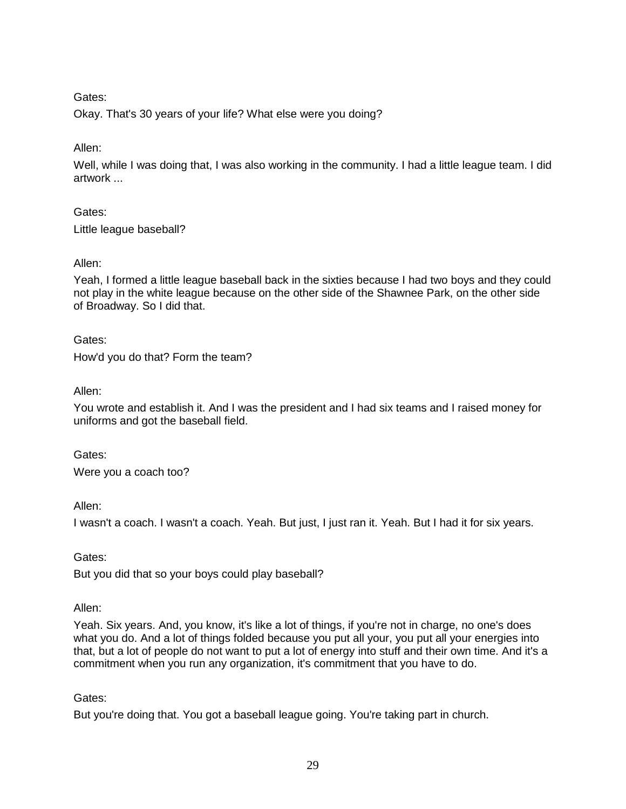Okay. That's 30 years of your life? What else were you doing?

Allen:

Well, while I was doing that, I was also working in the community. I had a little league team. I did artwork ...

Gates:

Little league baseball?

## Allen:

Yeah, I formed a little league baseball back in the sixties because I had two boys and they could not play in the white league because on the other side of the Shawnee Park, on the other side of Broadway. So I did that.

Gates:

How'd you do that? Form the team?

Allen:

You wrote and establish it. And I was the president and I had six teams and I raised money for uniforms and got the baseball field.

Gates: Were you a coach too?

Allen:

I wasn't a coach. I wasn't a coach. Yeah. But just, I just ran it. Yeah. But I had it for six years.

Gates:

But you did that so your boys could play baseball?

Allen:

Yeah. Six years. And, you know, it's like a lot of things, if you're not in charge, no one's does what you do. And a lot of things folded because you put all your, you put all your energies into that, but a lot of people do not want to put a lot of energy into stuff and their own time. And it's a commitment when you run any organization, it's commitment that you have to do.

Gates:

But you're doing that. You got a baseball league going. You're taking part in church.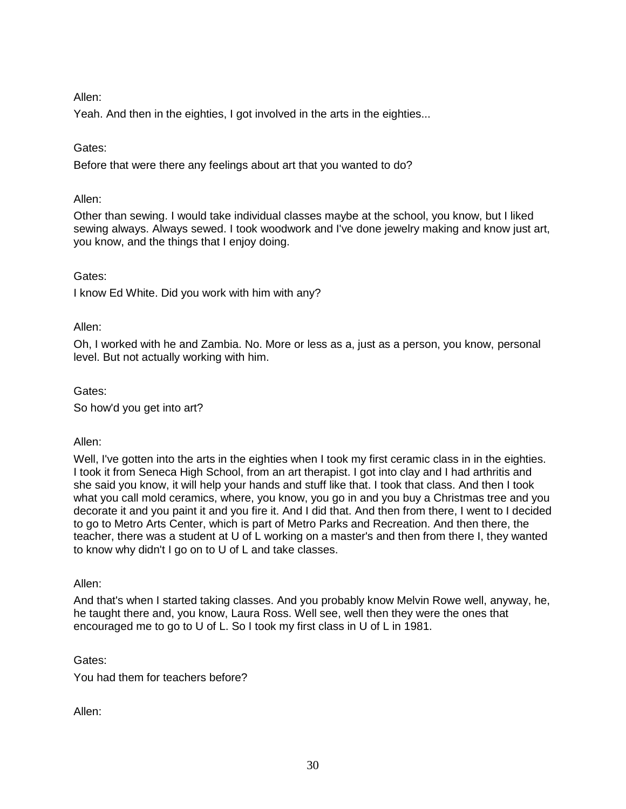## Allen:

Yeah. And then in the eighties, I got involved in the arts in the eighties...

### Gates:

Before that were there any feelings about art that you wanted to do?

### Allen:

Other than sewing. I would take individual classes maybe at the school, you know, but I liked sewing always. Always sewed. I took woodwork and I've done jewelry making and know just art, you know, and the things that I enjoy doing.

### Gates:

I know Ed White. Did you work with him with any?

### Allen:

Oh, I worked with he and Zambia. No. More or less as a, just as a person, you know, personal level. But not actually working with him.

### Gates:

So how'd you get into art?

### Allen:

Well, I've gotten into the arts in the eighties when I took my first ceramic class in in the eighties. I took it from Seneca High School, from an art therapist. I got into clay and I had arthritis and she said you know, it will help your hands and stuff like that. I took that class. And then I took what you call mold ceramics, where, you know, you go in and you buy a Christmas tree and you decorate it and you paint it and you fire it. And I did that. And then from there, I went to I decided to go to Metro Arts Center, which is part of Metro Parks and Recreation. And then there, the teacher, there was a student at U of L working on a master's and then from there I, they wanted to know why didn't I go on to U of L and take classes.

### Allen:

And that's when I started taking classes. And you probably know Melvin Rowe well, anyway, he, he taught there and, you know, Laura Ross. Well see, well then they were the ones that encouraged me to go to U of L. So I took my first class in U of L in 1981.

Gates:

You had them for teachers before?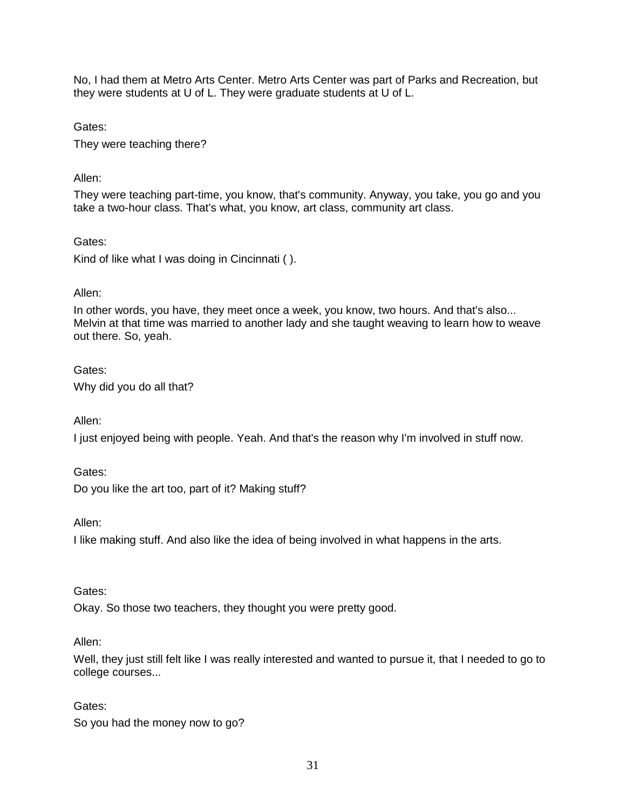No, I had them at Metro Arts Center. Metro Arts Center was part of Parks and Recreation, but they were students at U of L. They were graduate students at U of L.

Gates:

They were teaching there?

## Allen:

They were teaching part-time, you know, that's community. Anyway, you take, you go and you take a two-hour class. That's what, you know, art class, community art class.

### Gates:

Kind of like what I was doing in Cincinnati ( ).

## Allen:

In other words, you have, they meet once a week, you know, two hours. And that's also... Melvin at that time was married to another lady and she taught weaving to learn how to weave out there. So, yeah.

## Gates: Why did you do all that?

Allen:

I just enjoyed being with people. Yeah. And that's the reason why I'm involved in stuff now.

## Gates:

Do you like the art too, part of it? Making stuff?

Allen:

I like making stuff. And also like the idea of being involved in what happens in the arts.

### Gates:

Okay. So those two teachers, they thought you were pretty good.

### Allen:

Well, they just still felt like I was really interested and wanted to pursue it, that I needed to go to college courses...

## Gates:

So you had the money now to go?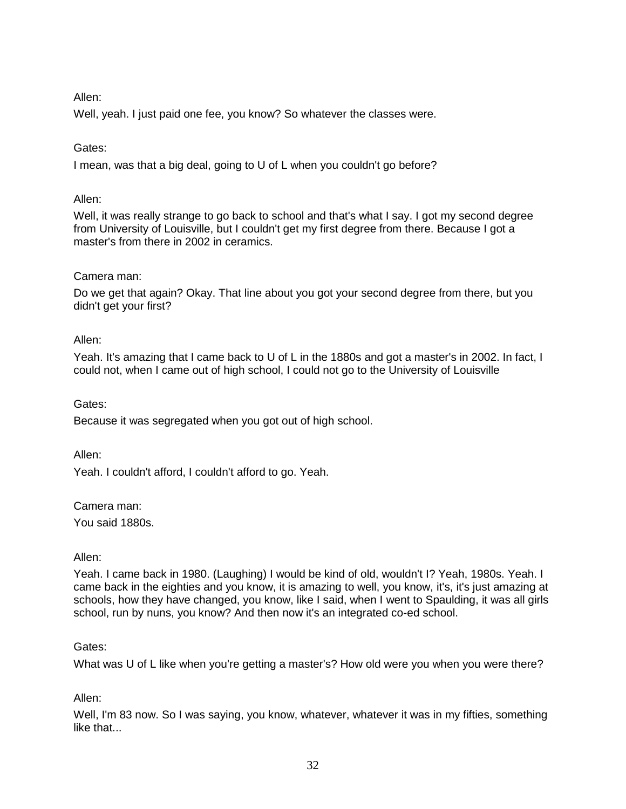## Allen:

Well, yeah. I just paid one fee, you know? So whatever the classes were.

### Gates:

I mean, was that a big deal, going to U of L when you couldn't go before?

### Allen:

Well, it was really strange to go back to school and that's what I say. I got my second degree from University of Louisville, but I couldn't get my first degree from there. Because I got a master's from there in 2002 in ceramics.

### Camera man:

Do we get that again? Okay. That line about you got your second degree from there, but you didn't get your first?

## Allen:

Yeah. It's amazing that I came back to U of L in the 1880s and got a master's in 2002. In fact, I could not, when I came out of high school, I could not go to the University of Louisville

### Gates:

Because it was segregated when you got out of high school.

Allen:

Yeah. I couldn't afford, I couldn't afford to go. Yeah.

### Camera man:

You said 1880s.

### Allen:

Yeah. I came back in 1980. (Laughing) I would be kind of old, wouldn't I? Yeah, 1980s. Yeah. I came back in the eighties and you know, it is amazing to well, you know, it's, it's just amazing at schools, how they have changed, you know, like I said, when I went to Spaulding, it was all girls school, run by nuns, you know? And then now it's an integrated co-ed school.

### Gates:

What was U of L like when you're getting a master's? How old were you when you were there?

## Allen:

Well, I'm 83 now. So I was saying, you know, whatever, whatever it was in my fifties, something like that...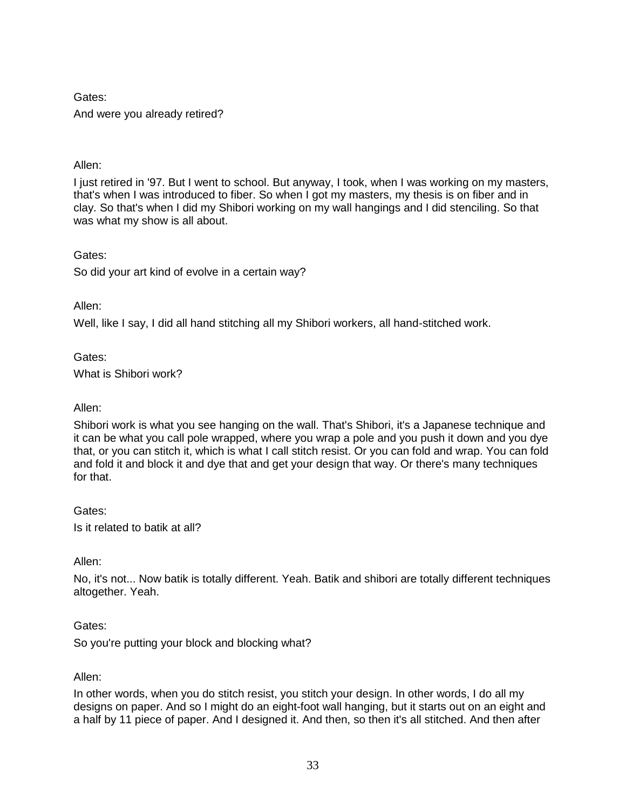And were you already retired?

## Allen:

I just retired in '97. But I went to school. But anyway, I took, when I was working on my masters, that's when I was introduced to fiber. So when I got my masters, my thesis is on fiber and in clay. So that's when I did my Shibori working on my wall hangings and I did stenciling. So that was what my show is all about.

### Gates:

So did your art kind of evolve in a certain way?

Allen:

Well, like I say, I did all hand stitching all my Shibori workers, all hand-stitched work.

Gates:

What is Shibori work?

## Allen:

Shibori work is what you see hanging on the wall. That's Shibori, it's a Japanese technique and it can be what you call pole wrapped, where you wrap a pole and you push it down and you dye that, or you can stitch it, which is what I call stitch resist. Or you can fold and wrap. You can fold and fold it and block it and dye that and get your design that way. Or there's many techniques for that.

### Gates:

Is it related to batik at all?

Allen:

No, it's not... Now batik is totally different. Yeah. Batik and shibori are totally different techniques altogether. Yeah.

### Gates:

So you're putting your block and blocking what?

### Allen:

In other words, when you do stitch resist, you stitch your design. In other words, I do all my designs on paper. And so I might do an eight-foot wall hanging, but it starts out on an eight and a half by 11 piece of paper. And I designed it. And then, so then it's all stitched. And then after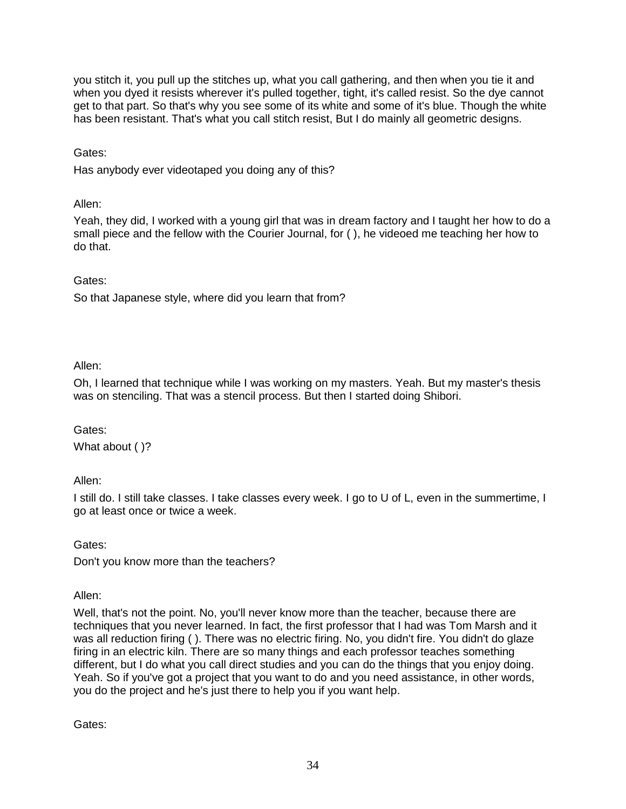you stitch it, you pull up the stitches up, what you call gathering, and then when you tie it and when you dyed it resists wherever it's pulled together, tight, it's called resist. So the dye cannot get to that part. So that's why you see some of its white and some of it's blue. Though the white has been resistant. That's what you call stitch resist, But I do mainly all geometric designs.

Gates:

Has anybody ever videotaped you doing any of this?

Allen:

Yeah, they did, I worked with a young girl that was in dream factory and I taught her how to do a small piece and the fellow with the Courier Journal, for ( ), he videoed me teaching her how to do that.

## Gates:

So that Japanese style, where did you learn that from?

Allen:

Oh, I learned that technique while I was working on my masters. Yeah. But my master's thesis was on stenciling. That was a stencil process. But then I started doing Shibori.

Gates: What about ( )?

Allen:

I still do. I still take classes. I take classes every week. I go to U of L, even in the summertime, I go at least once or twice a week.

Gates:

Don't you know more than the teachers?

Allen:

Well, that's not the point. No, you'll never know more than the teacher, because there are techniques that you never learned. In fact, the first professor that I had was Tom Marsh and it was all reduction firing (). There was no electric firing. No, you didn't fire. You didn't do glaze firing in an electric kiln. There are so many things and each professor teaches something different, but I do what you call direct studies and you can do the things that you enjoy doing. Yeah. So if you've got a project that you want to do and you need assistance, in other words, you do the project and he's just there to help you if you want help.

Gates: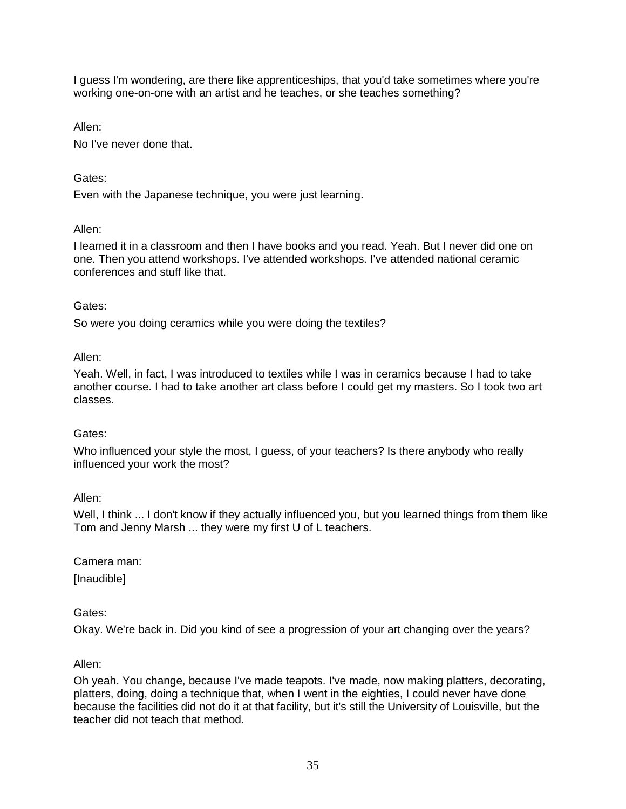I guess I'm wondering, are there like apprenticeships, that you'd take sometimes where you're working one-on-one with an artist and he teaches, or she teaches something?

Allen:

No I've never done that.

### Gates:

Even with the Japanese technique, you were just learning.

### Allen:

I learned it in a classroom and then I have books and you read. Yeah. But I never did one on one. Then you attend workshops. I've attended workshops. I've attended national ceramic conferences and stuff like that.

#### Gates:

So were you doing ceramics while you were doing the textiles?

#### Allen:

Yeah. Well, in fact, I was introduced to textiles while I was in ceramics because I had to take another course. I had to take another art class before I could get my masters. So I took two art classes.

### Gates:

Who influenced your style the most, I guess, of your teachers? Is there anybody who really influenced your work the most?

#### Allen:

Well, I think ... I don't know if they actually influenced you, but you learned things from them like Tom and Jenny Marsh ... they were my first U of L teachers.

Camera man:

[Inaudible]

### Gates:

Okay. We're back in. Did you kind of see a progression of your art changing over the years?

#### Allen:

Oh yeah. You change, because I've made teapots. I've made, now making platters, decorating, platters, doing, doing a technique that, when I went in the eighties, I could never have done because the facilities did not do it at that facility, but it's still the University of Louisville, but the teacher did not teach that method.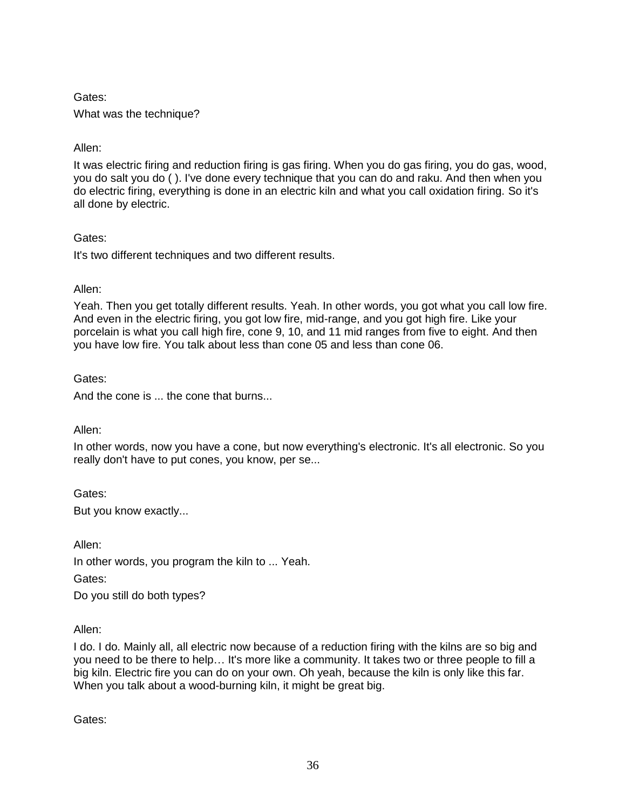What was the technique?

## Allen:

It was electric firing and reduction firing is gas firing. When you do gas firing, you do gas, wood, you do salt you do ( ). I've done every technique that you can do and raku. And then when you do electric firing, everything is done in an electric kiln and what you call oxidation firing. So it's all done by electric.

### Gates:

It's two different techniques and two different results.

## Allen:

Yeah. Then you get totally different results. Yeah. In other words, you got what you call low fire. And even in the electric firing, you got low fire, mid-range, and you got high fire. Like your porcelain is what you call high fire, cone 9, 10, and 11 mid ranges from five to eight. And then you have low fire. You talk about less than cone 05 and less than cone 06.

## Gates:

And the cone is ... the cone that burns...

### Allen:

In other words, now you have a cone, but now everything's electronic. It's all electronic. So you really don't have to put cones, you know, per se...

Gates: But you know exactly...

Allen: In other words, you program the kiln to ... Yeah. Gates: Do you still do both types?

### Allen:

I do. I do. Mainly all, all electric now because of a reduction firing with the kilns are so big and you need to be there to help… It's more like a community. It takes two or three people to fill a big kiln. Electric fire you can do on your own. Oh yeah, because the kiln is only like this far. When you talk about a wood-burning kiln, it might be great big.

Gates: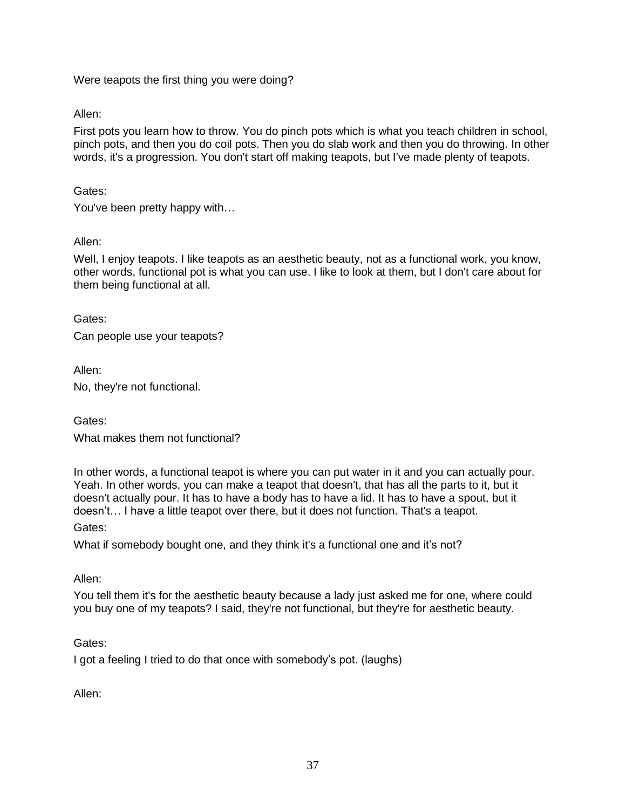Were teapots the first thing you were doing?

Allen:

First pots you learn how to throw. You do pinch pots which is what you teach children in school, pinch pots, and then you do coil pots. Then you do slab work and then you do throwing. In other words, it's a progression. You don't start off making teapots, but I've made plenty of teapots.

Gates:

You've been pretty happy with…

Allen:

Well, I enjoy teapots. I like teapots as an aesthetic beauty, not as a functional work, you know, other words, functional pot is what you can use. I like to look at them, but I don't care about for them being functional at all.

Gates:

Can people use your teapots?

Allen:

No, they're not functional.

Gates: What makes them not functional?

In other words, a functional teapot is where you can put water in it and you can actually pour. Yeah. In other words, you can make a teapot that doesn't, that has all the parts to it, but it doesn't actually pour. It has to have a body has to have a lid. It has to have a spout, but it doesn't… I have a little teapot over there, but it does not function. That's a teapot.

Gates:

What if somebody bought one, and they think it's a functional one and it's not?

Allen:

You tell them it's for the aesthetic beauty because a lady just asked me for one, where could you buy one of my teapots? I said, they're not functional, but they're for aesthetic beauty.

Gates:

I got a feeling I tried to do that once with somebody's pot. (laughs)